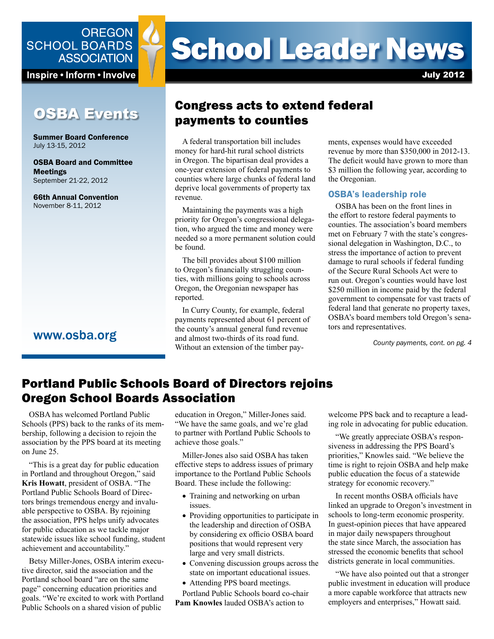

Inspire • Inform • Involve

# OSBA Events

Summer Board Conference July 13-15, 2012

OSBA Board and Committee Meetings September 21-22, 2012

66th Annual Convention November 8-11, 2012

### www.osba.org

# **School Leader News**

July 2012

# Congress acts to extend federal payments to counties

A federal transportation bill includes money for hard-hit rural school districts in Oregon. The bipartisan deal provides a one-year extension of federal payments to counties where large chunks of federal land deprive local governments of property tax revenue.

Maintaining the payments was a high priority for Oregon's congressional delegation, who argued the time and money were needed so a more permanent solution could be found.

The bill provides about \$100 million to Oregon's financially struggling counties, with millions going to schools across Oregon, the Oregonian newspaper has reported.

In Curry County, for example, federal payments represented about 61 percent of the county's annual general fund revenue and almost two-thirds of its road fund. Without an extension of the timber payments, expenses would have exceeded revenue by more than \$350,000 in 2012-13. The deficit would have grown to more than \$3 million the following year, according to the Oregonian.

### OSBA's leadership role

OSBA has been on the front lines in the effort to restore federal payments to counties. The association's board members met on February 7 with the state's congressional delegation in Washington, D.C., to stress the importance of action to prevent damage to rural schools if federal funding of the Secure Rural Schools Act were to run out. Oregon's counties would have lost \$250 million in income paid by the federal government to compensate for vast tracts of federal land that generate no property taxes, OSBA's board members told Oregon's senators and representatives.

*County payments, cont. on pg. 4*

# Portland Public Schools Board of Directors rejoins Oregon School Boards Association

OSBA has welcomed Portland Public Schools (PPS) back to the ranks of its membership, following a decision to rejoin the association by the PPS board at its meeting on June 25.

"This is a great day for public education in Portland and throughout Oregon," said **Kris Howatt**, president of OSBA. "The Portland Public Schools Board of Directors brings tremendous energy and invaluable perspective to OSBA. By rejoining the association, PPS helps unify advocates for public education as we tackle major statewide issues like school funding, student achievement and accountability."

Betsy Miller-Jones, OSBA interim executive director, said the association and the Portland school board "are on the same page" concerning education priorities and goals. "We're excited to work with Portland Public Schools on a shared vision of public

education in Oregon," Miller-Jones said. "We have the same goals, and we're glad to partner with Portland Public Schools to achieve those goals."

Miller-Jones also said OSBA has taken effective steps to address issues of primary importance to the Portland Public Schools Board. These include the following:

- Training and networking on urban issues.
- Providing opportunities to participate in the leadership and direction of OSBA by considering ex officio OSBA board positions that would represent very large and very small districts.
- Convening discussion groups across the state on important educational issues.
- Attending PPS board meetings.

Portland Public Schools board co-chair **Pam Knowles** lauded OSBA's action to

welcome PPS back and to recapture a leading role in advocating for public education.

"We greatly appreciate OSBA's responsiveness in addressing the PPS Board's priorities," Knowles said. "We believe the time is right to rejoin OSBA and help make public education the focus of a statewide strategy for economic recovery."

In recent months OSBA officials have linked an upgrade to Oregon's investment in schools to long-term economic prosperity. In guest-opinion pieces that have appeared in major daily newspapers throughout the state since March, the association has stressed the economic benefits that school districts generate in local communities.

"We have also pointed out that a stronger public investment in education will produce a more capable workforce that attracts new employers and enterprises," Howatt said.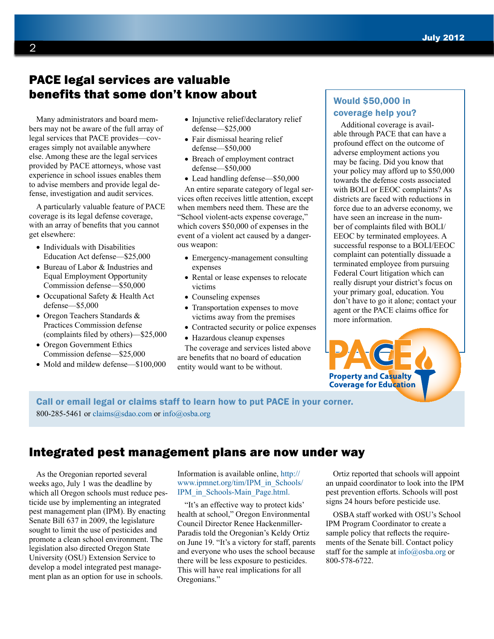# PACE legal services are valuable benefits that some don't know about

Many administrators and board members may not be aware of the full array of legal services that PACE provides—coverages simply not available anywhere else. Among these are the legal services provided by PACE attorneys, whose vast experience in school issues enables them to advise members and provide legal defense, investigation and audit services.

A particularly valuable feature of PACE coverage is its legal defense coverage, with an array of benefits that you cannot get elsewhere:

- Individuals with Disabilities Education Act defense—\$25,000
- Bureau of Labor & Industries and Equal Employment Opportunity Commission defense—\$50,000
- Occupational Safety & Health Act defense—\$5,000
- Oregon Teachers Standards & Practices Commission defense (complaints filed by others)—\$25,000
- Oregon Government Ethics Commission defense—\$25,000
- Mold and mildew defense—\$100,000
- Injunctive relief/declaratory relief defense—\$25,000
- Fair dismissal hearing relief defense—\$50,000
- Breach of employment contract defense—\$50,000

• Lead handling defense—\$50,000 An entire separate category of legal services often receives little attention, except when members need them. These are the "School violent-acts expense coverage," which covers \$50,000 of expenses in the event of a violent act caused by a dangerous weapon:

- Emergency-management consulting expenses
- Rental or lease expenses to relocate victims
- Counseling expenses
- Transportation expenses to move victims away from the premises
- Contracted security or police expenses
- Hazardous cleanup expenses

The coverage and services listed above are benefits that no board of education entity would want to be without.

### Would \$50,000 in coverage help you?

Additional coverage is available through PACE that can have a profound effect on the outcome of adverse employment actions you may be facing. Did you know that your policy may afford up to \$50,000 towards the defense costs associated with BOLI or EEOC complaints? As districts are faced with reductions in force due to an adverse economy, we have seen an increase in the number of complaints filed with BOLI/ EEOC by terminated employees. A successful response to a BOLI/EEOC complaint can potentially dissuade a terminated employee from pursuing Federal Court litigation which can really disrupt your district's focus on your primary goal, education. You don't have to go it alone; contact your agent or the PACE claims office for more information.

Call or email legal or claims staff to learn how to put PACE in your [corner.](pace.osba.org)  800-285-5461 or claim[s@sdao.com](mailto:claims%40sdao.com?subject=) or [info@osba.org](mailto:info%40osba.org?subject=)

# Integrated pest management plans are now under way

As the Oregonian reported several weeks ago, July 1 was the deadline by which all Oregon schools must reduce pesticide use by implementing an integrated pest management plan (IPM). By enacting Senate Bill 637 in 2009, the legislature sought to limit the use of pesticides and promote a clean school environment. The legislation also directed Oregon State University (OSU) Extension Service to develop a model integrated pest management plan as an option for use in schools.

Information is available online, [http://](http://www.ipmnet.org/tim/IPM_in_Schools/IPM_in_Schools-Main_Page.html) [www.ipmnet.org/tim/IPM\\_in\\_Schools/](http://www.ipmnet.org/tim/IPM_in_Schools/IPM_in_Schools-Main_Page.html) [IPM\\_in\\_Schools-Main\\_Page.html.](http://www.ipmnet.org/tim/IPM_in_Schools/IPM_in_Schools-Main_Page.html)

"It's an effective way to protect kids' health at school," Oregon Environmental Council Director Renee Hackenmiller-Paradis told the Oregonian's Keldy Ortiz on June 19. "It's a victory for staff, parents and everyone who uses the school because there will be less exposure to pesticides. This will have real implications for all Oregonians."

Ortiz reported that schools will appoint an unpaid coordinator to look into the IPM pest prevention efforts. Schools will post signs 24 hours before pesticide use.

**Property and Casualty Coverage for Education** 

OSBA staff worked with OSU's School IPM Program Coordinator to create a sample policy that reflects the requirements of the Senate bill. Contact policy staff for the sample at [info@osba.org](mailto:info%40osba.org?subject=) or 800-578-6722.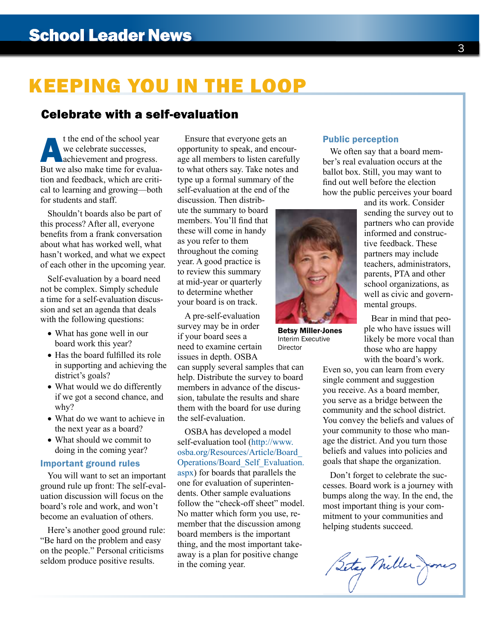# KEEPING YOU IN THE LOOP

## Celebrate with a self-evaluation

t the end of the school year<br>we celebrate successes,<br>achievement and progress.<br>But we also make time for evaluawe celebrate successes, achievement and progress. But we also make time for evaluation and feedback, which are critical to learning and growing—both for students and staff.

Shouldn't boards also be part of this process? After all, everyone benefits from a frank conversation about what has worked well, what hasn't worked, and what we expect of each other in the upcoming year.

Self-evaluation by a board need not be complex. Simply schedule a time for a self-evaluation discussion and set an agenda that deals with the following questions:

- What has gone well in our board work this year?
- Has the board fulfilled its role in supporting and achieving the district's goals?
- What would we do differently if we got a second chance, and why?
- What do we want to achieve in the next year as a board?
- What should we commit to doing in the coming year?

### Important ground rules

You will want to set an important ground rule up front: The self-evaluation discussion will focus on the board's role and work, and won't become an evaluation of others.

Here's another good ground rule: "Be hard on the problem and easy on the people." Personal criticisms seldom produce positive results.

Ensure that everyone gets an opportunity to speak, and encourage all members to listen carefully to what others say. Take notes and type up a formal summary of the self-evaluation at the end of the

discussion. Then distribute the summary to board members. You'll find that these will come in handy as you refer to them throughout the coming year. A good practice is to review this summary at mid-year or quarterly to determine whether your board is on track.

A pre-self-evaluation survey may be in order if your board sees a need to examine certain issues in depth. OSBA

can supply several samples that can help. Distribute the survey to board members in advance of the discussion, tabulate the results and share them with the board for use during the self-evaluation.

OSBA has developed a model self-evaluation tool ([http://www.](http://www.osba.org/Resources/Article/Board_Operations/Board_Self_Evaluation.aspx) [osba.org/Resources/Article/Board\\_](http://www.osba.org/Resources/Article/Board_Operations/Board_Self_Evaluation.aspx) [Operations/Board\\_Self\\_Evaluation.](http://www.osba.org/Resources/Article/Board_Operations/Board_Self_Evaluation.aspx) [aspx](http://www.osba.org/Resources/Article/Board_Operations/Board_Self_Evaluation.aspx)) for boards that parallels the one for evaluation of superintendents. Other sample evaluations follow the "check-off sheet" model. No matter which form you use, remember that the discussion among board members is the important thing, and the most important takeaway is a plan for positive change in the coming year.

### Public perception

We often say that a board member's real evaluation occurs at the ballot box. Still, you may want to find out well before the election how the public perceives your board



Betsy Miller-Jones Interim Executive Director

and its work. Consider sending the survey out to partners who can provide informed and constructive feedback. These partners may include teachers, administrators, parents, PTA and other school organizations, as well as civic and governmental groups.

Bear in mind that people who have issues will likely be more vocal than those who are happy with the board's work.

Even so, you can learn from every single comment and suggestion you receive. As a board member, you serve as a bridge between the community and the school district. You convey the beliefs and values of your community to those who manage the district. And you turn those beliefs and values into policies and goals that shape the organization.

Don't forget to celebrate the successes. Board work is a journey with bumps along the way. In the end, the most important thing is your commitment to your communities and helping students succeed.

Setay Miller-Jones

3